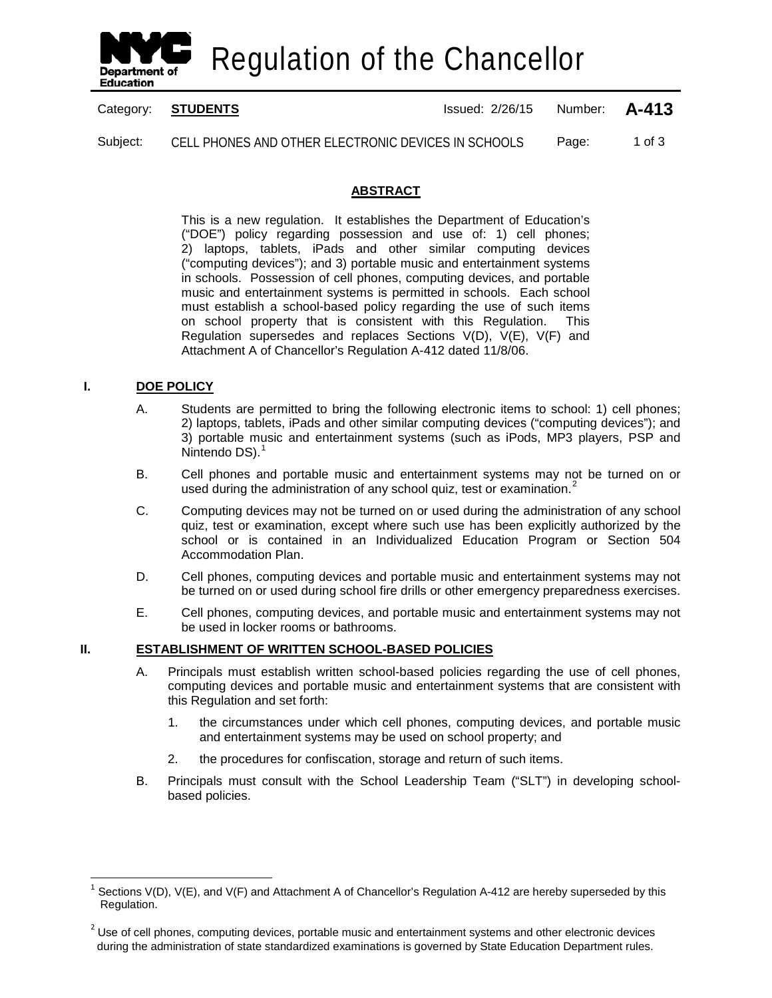

Regulation of the Chancellor

Category: **STUDENTS ISSUE 2/26/15** Number: **A-413** 

Subject: CELL PHONES AND OTHER ELECTRONIC DEVICES IN SCHOOLS Page: 1 of 3

# **ABSTRACT**

This is a new regulation. It establishes the Department of Education's ("DOE") policy regarding possession and use of: 1) cell phones; 2) laptops, tablets, iPads and other similar computing devices ("computing devices"); and 3) portable music and entertainment systems in schools. Possession of cell phones, computing devices, and portable music and entertainment systems is permitted in schools. Each school must establish a school-based policy regarding the use of such items on school property that is consistent with this Regulation. This Regulation supersedes and replaces Sections V(D), V(E), V(F) and Attachment A of Chancellor's Regulation A-412 dated 11/8/06.

#### **I. DOE POLICY**

 $\overline{\phantom{a}}$ 

- A. Students are permitted to bring the following electronic items to school: 1) cell phones; 2) laptops, tablets, iPads and other similar computing devices ("computing devices"); and 3) portable music and entertainment systems (such as iPods, MP3 players, PSP and Nintendo DS).<sup>[1](#page-0-0)</sup>
- B. Cell phones and portable music and entertainment systems may not be turned on or used during the administration of any school quiz, test or examination.<sup>[2](#page-0-1)</sup>
- C. Computing devices may not be turned on or used during the administration of any school quiz, test or examination, except where such use has been explicitly authorized by the school or is contained in an Individualized Education Program or Section 504 Accommodation Plan.
- D. Cell phones, computing devices and portable music and entertainment systems may not be turned on or used during school fire drills or other emergency preparedness exercises.
- E. Cell phones, computing devices, and portable music and entertainment systems may not be used in locker rooms or bathrooms.

#### **II. ESTABLISHMENT OF WRITTEN SCHOOL-BASED POLICIES**

- A. Principals must establish written school-based policies regarding the use of cell phones, computing devices and portable music and entertainment systems that are consistent with this Regulation and set forth:
	- 1. the circumstances under which cell phones, computing devices, and portable music and entertainment systems may be used on school property; and
	- 2. the procedures for confiscation, storage and return of such items.
- B. Principals must consult with the School Leadership Team ("SLT") in developing schoolbased policies.

<span id="page-0-0"></span>Sections V(D), V(E), and V(F) and Attachment A of Chancellor's Regulation A-412 are hereby superseded by this Regulation.

<span id="page-0-1"></span> $<sup>2</sup>$  Use of cell phones, computing devices, portable music and entertainment systems and other electronic devices</sup> during the administration of state standardized examinations is governed by State Education Department rules.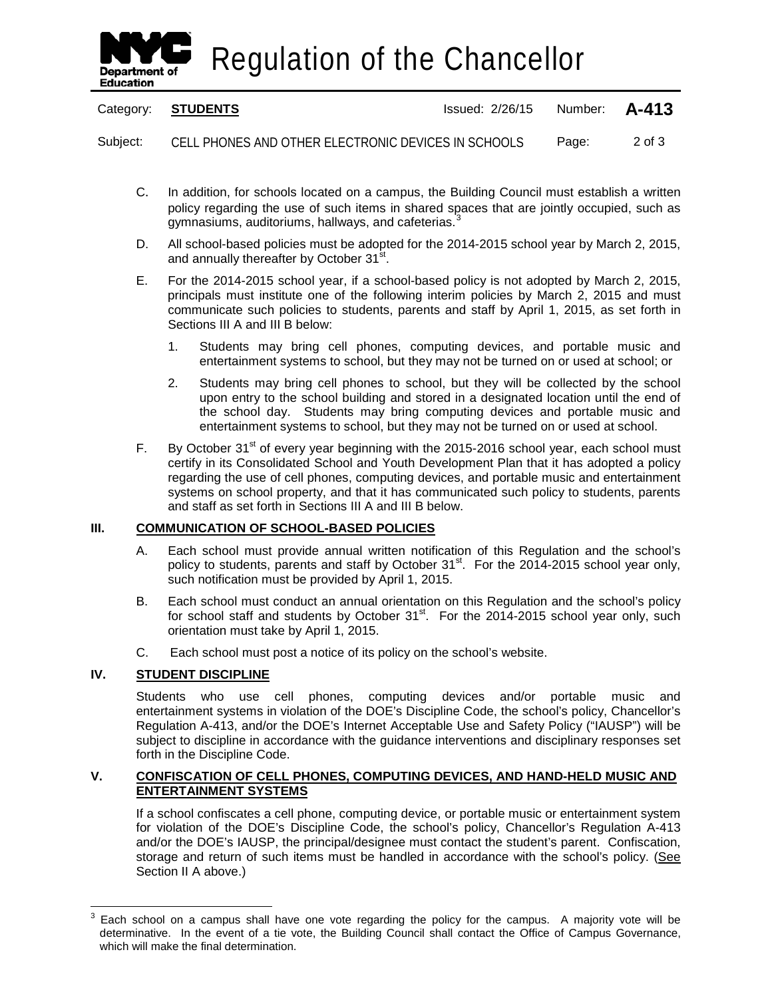

Regulation of the Chancellor

| Category: STUDENTS | Issued: 2/26/15 Number: <b>A-413</b> |  |
|--------------------|--------------------------------------|--|
|                    |                                      |  |

Subject: CELL PHONES AND OTHER ELECTRONIC DEVICES IN SCHOOLS Page: 2 of 3

- C. In addition, for schools located on a campus, the Building Council must establish a written policy regarding the use of such items in shared spaces that are jointly occupied, such as gymnasiums, auditoriums, hallways, and cafeterias.<sup>[3](#page-1-0)</sup>
- D. All school-based policies must be adopted for the 2014-2015 school year by March 2, 2015, and annually thereafter by October 31<sup>st</sup>.
- E. For the 2014-2015 school year, if a school-based policy is not adopted by March 2, 2015, principals must institute one of the following interim policies by March 2, 2015 and must communicate such policies to students, parents and staff by April 1, 2015, as set forth in Sections III A and III B below:
	- 1. Students may bring cell phones, computing devices, and portable music and entertainment systems to school, but they may not be turned on or used at school; or
	- 2. Students may bring cell phones to school, but they will be collected by the school upon entry to the school building and stored in a designated location until the end of the school day. Students may bring computing devices and portable music and entertainment systems to school, but they may not be turned on or used at school.
- F. By October  $31^{st}$  of every year beginning with the 2015-2016 school year, each school must certify in its Consolidated School and Youth Development Plan that it has adopted a policy regarding the use of cell phones, computing devices, and portable music and entertainment systems on school property, and that it has communicated such policy to students, parents and staff as set forth in Sections III A and III B below.

## **III. COMMUNICATION OF SCHOOL-BASED POLICIES**

- A. Each school must provide annual written notification of this Regulation and the school's policy to students, parents and staff by October 31<sup>st</sup>. For the 2014-2015 school year only, such notification must be provided by April 1, 2015.
- B. Each school must conduct an annual orientation on this Regulation and the school's policy for school staff and students by October  $31<sup>st</sup>$ . For the 2014-2015 school year only, such orientation must take by April 1, 2015.
- C. Each school must post a notice of its policy on the school's website.

## **IV. STUDENT DISCIPLINE**

 $\overline{\phantom{a}}$ 

Students who use cell phones, computing devices and/or portable music and entertainment systems in violation of the DOE's Discipline Code, the school's policy, Chancellor's Regulation A-413, and/or the DOE's Internet Acceptable Use and Safety Policy ("IAUSP") will be subject to discipline in accordance with the guidance interventions and disciplinary responses set forth in the Discipline Code.

## **V. CONFISCATION OF CELL PHONES, COMPUTING DEVICES, AND HAND-HELD MUSIC AND ENTERTAINMENT SYSTEMS**

If a school confiscates a cell phone, computing device, or portable music or entertainment system for violation of the DOE's Discipline Code, the school's policy, Chancellor's Regulation A-413 and/or the DOE's IAUSP, the principal/designee must contact the student's parent. Confiscation, storage and return of such items must be handled in accordance with the school's policy. (See Section II A above.)

<span id="page-1-0"></span> $3$  Each school on a campus shall have one vote regarding the policy for the campus. A majority vote will be determinative. In the event of a tie vote, the Building Council shall contact the Office of Campus Governance, which will make the final determination.